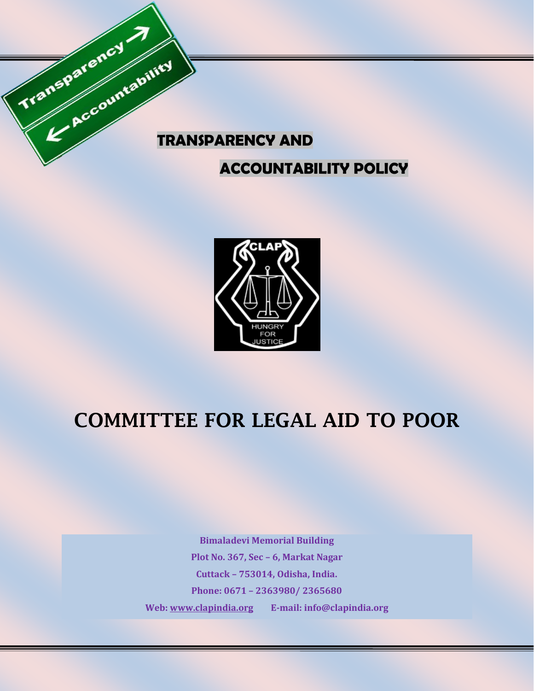

### **ACCOUNTABILITY POLICY**



# **COMMITTEE FOR LEGAL AID TO POOR**

**Bimaladevi Memorial Building Plot No. 367, Sec – 6, Markat Nagar Cuttack – 753014, Odisha, India. Phone: 0671 – 2363980/ 2365680 Web: [www.clapindia.org](http://www.clapindia.org/) E-mail: info@clapindia.org**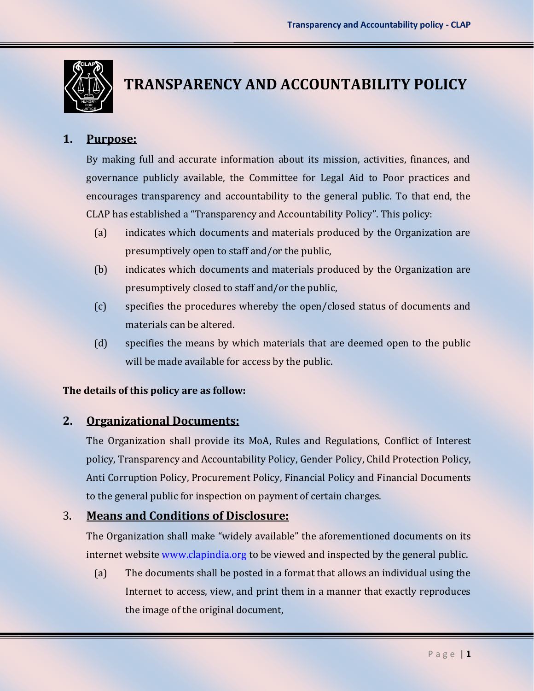

## **TRANSPARENCY AND ACCOUNTABILITY POLICY**

#### **1. Purpose:**

By making full and accurate information about its mission, activities, finances, and governance publicly available, the Committee for Legal Aid to Poor practices and encourages transparency and accountability to the general public. To that end, the CLAP has established a "Transparency and Accountability Policy". This policy:

- (a) indicates which documents and materials produced by the Organization are presumptively open to staff and/or the public,
- (b) indicates which documents and materials produced by the Organization are presumptively closed to staff and/or the public,
- (c) specifies the procedures whereby the open/closed status of documents and materials can be altered.
- (d) specifies the means by which materials that are deemed open to the public will be made available for access by the public.

#### **The details of this policy are as follow:**

### **2. Organizational Documents:**

The Organization shall provide its MoA, Rules and Regulations, Conflict of Interest policy, Transparency and Accountability Policy, Gender Policy, Child Protection Policy, Anti Corruption Policy, Procurement Policy, Financial Policy and Financial Documents to the general public for inspection on payment of certain charges.

#### 3. **Means and Conditions of Disclosure:**

The Organization shall make "widely available" the aforementioned documents on its internet website [www.clapindia.org](http://www.clapindia.org/) to be viewed and inspected by the general public.

(a) The documents shall be posted in a format that allows an individual using the Internet to access, view, and print them in a manner that exactly reproduces the image of the original document,